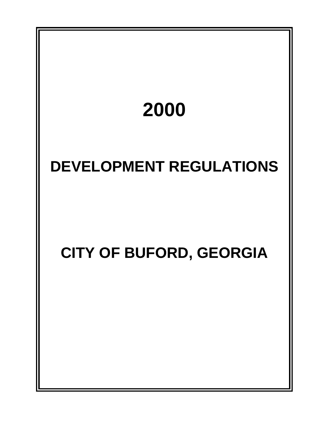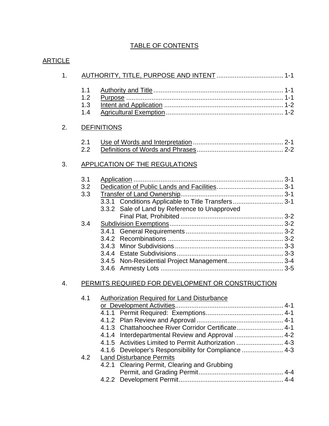### TABLE OF CONTENTS

| 1 <sub>1</sub>   |                          |                                                                                                                                                                                                                           |
|------------------|--------------------------|---------------------------------------------------------------------------------------------------------------------------------------------------------------------------------------------------------------------------|
|                  | 1.1<br>1.2<br>1.3<br>1.4 |                                                                                                                                                                                                                           |
| 2.               |                          | <b>DEFINITIONS</b>                                                                                                                                                                                                        |
|                  | 2.1<br>2.2               |                                                                                                                                                                                                                           |
| 3.               |                          | <b>APPLICATION OF THE REGULATIONS</b>                                                                                                                                                                                     |
|                  | 3.1<br>3.2<br>3.3        | 3.3.1 Conditions Applicable to Title Transfers 3-1<br>3.3.2 Sale of Land by Reference to Unapproved                                                                                                                       |
|                  | 3.4                      | 3.4.5 Non-Residential Project Management 3-4                                                                                                                                                                              |
| $\overline{4}$ . |                          | PERMITS REQUIRED FOR DEVELOPMENT OR CONSTRUCTION                                                                                                                                                                          |
|                  | 4.1                      | <b>Authorization Required for Land Disturbance</b><br>4.1.3 Chattahoochee River Corridor Certificate 4-1<br>4.1.5 Activities Limited to Permit Authorization  4-3<br>4.1.6 Developer's Responsibility for Compliance  4-3 |
|                  | 4.2                      | <b>Land Disturbance Permits</b><br>4.2.1 Clearing Permit, Clearing and Grubbing                                                                                                                                           |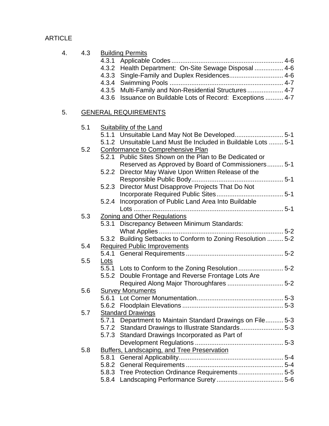| 4. | 4.3 | <b>Building Permits</b><br>Health Department: On-Site Sewage Disposal  4-6<br>4.3.2<br>Single-Family and Duplex Residences 4-6<br>4.3.3<br>4.3.5 Multi-Family and Non-Residential Structures 4-7<br>Issuance on Buildable Lots of Record: Exceptions  4-7<br>4.3.6 |
|----|-----|--------------------------------------------------------------------------------------------------------------------------------------------------------------------------------------------------------------------------------------------------------------------|
| 5. |     | <b>GENERAL REQUIREMENTS</b>                                                                                                                                                                                                                                        |
|    | 5.1 | <b>Suitability of the Land</b><br>5.1.1 Unsuitable Land May Not Be Developed 5-1<br>5.1.2 Unsuitable Land Must Be Included in Buildable Lots  5-1                                                                                                                  |
|    | 5.2 | <b>Conformance to Comprehensive Plan</b><br>5.2.1 Public Sites Shown on the Plan to Be Dedicated or<br>Reserved as Approved by Board of Commissioners 5-1<br>5.2.2 Director May Waive Upon Written Release of the                                                  |
|    |     | 5.2.3 Director Must Disapprove Projects That Do Not<br>Incorporation of Public Land Area Into Buildable<br>5.2.4                                                                                                                                                   |
|    | 5.3 | Zoning and Other Regulations<br>Discrepancy Between Minimum Standards:<br>5.3.1                                                                                                                                                                                    |
|    | 5.4 | 5.3.2 Building Setbacks to Conform to Zoning Resolution  5-2<br><b>Required Public Improvements</b>                                                                                                                                                                |
|    | 5.5 | <u>Lots</u><br>5-5.1 Lots to Conform to the Zoning Resolution 5-2<br>Double Frontage and Reverse Frontage Lots Are<br>5.5.2                                                                                                                                        |
|    | 5.6 | <b>Survey Monuments</b>                                                                                                                                                                                                                                            |
|    | 5.7 | <b>Standard Drawings</b><br>5.7.1 Department to Maintain Standard Drawings on File 5-3<br>5.7.2 Standard Drawings to Illustrate Standards5-3<br>5.7.3 Standard Drawings Incorporated as Part of                                                                    |
|    | 5.8 | Buffers, Landscaping, and Tree Preservation<br>5.8.1<br>5.8.2<br>5.8.3 Tree Protection Ordinance Requirements5-5                                                                                                                                                   |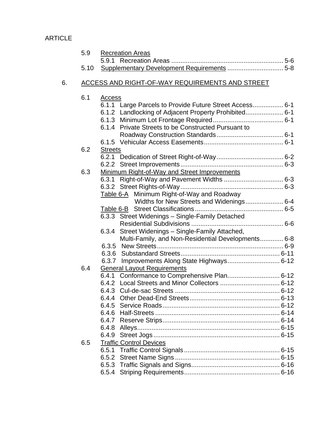|    | 5.9  | <b>Recreation Areas</b>                                 |
|----|------|---------------------------------------------------------|
|    |      |                                                         |
|    | 5.10 |                                                         |
| 6. |      | ACCESS AND RIGHT-OF-WAY REQUIREMENTS AND STREET         |
|    | 6.1  | <b>Access</b>                                           |
|    |      | 6.1.1 Large Parcels to Provide Future Street Access 6-1 |
|    |      | 6.1.2 Landlocking of Adjacent Property Prohibited 6-1   |
|    |      |                                                         |
|    |      | 6.1.4 Private Streets to be Constructed Pursuant to     |
|    |      |                                                         |
|    |      |                                                         |
|    | 6.2  | <b>Streets</b>                                          |
|    |      |                                                         |
|    | 6.3  |                                                         |
|    |      | Minimum Right-of-Way and Street Improvements            |
|    |      |                                                         |
|    |      | Table 6-A Minimum Right-of-Way and Roadway              |
|    |      | Widths for New Streets and Widenings 6-4                |
|    |      |                                                         |
|    |      | 6.3.3 Street Widenings - Single-Family Detached         |
|    |      |                                                         |
|    |      | 6.3.4 Street Widenings - Single-Family Attached,        |
|    |      | Multi-Family, and Non-Residential Developments 6-8      |
|    |      |                                                         |
|    |      |                                                         |
|    |      | 6.3.7 Improvements Along State Highways 6-12            |
|    | 6.4  | <b>General Layout Requirements</b>                      |
|    |      | 6.4.1 Conformance to Comprehensive Plan 6-12            |
|    |      |                                                         |
|    |      |                                                         |
|    |      |                                                         |
|    |      |                                                         |
|    |      |                                                         |
|    |      |                                                         |
|    |      | 6.4.8                                                   |
|    |      | 6.4.9                                                   |
|    | 6.5  | <b>Traffic Control Devices</b>                          |
|    |      |                                                         |
|    |      | 6.5.2                                                   |
|    |      |                                                         |
|    |      |                                                         |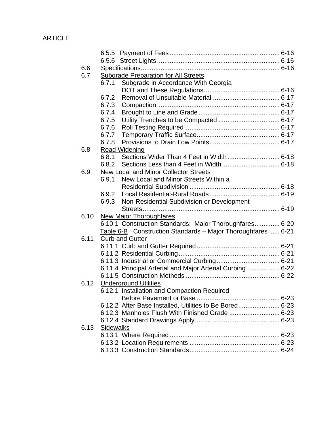| 6.6  |                                                              |  |
|------|--------------------------------------------------------------|--|
| 6.7  | <b>Subgrade Preparation for All Streets</b>                  |  |
|      | Subgrade in Accordance With Georgia<br>6.7.1                 |  |
|      |                                                              |  |
|      | 6.7.2                                                        |  |
|      | 6.7.3                                                        |  |
|      | 6.7.4                                                        |  |
|      | 6.7.5                                                        |  |
|      | 6.7.6                                                        |  |
|      | 6.7.7                                                        |  |
|      | 6.7.8                                                        |  |
| 6.8  | Road Widening                                                |  |
|      | 6.8.1                                                        |  |
|      | 6.8.2                                                        |  |
| 6.9  | New Local and Minor Collector Streets                        |  |
|      | 6.9.1<br>New Local and Minor Streets Within a                |  |
|      |                                                              |  |
|      | 6.9.2                                                        |  |
|      | 6.9.3<br>Non-Residential Subdivision or Development          |  |
|      |                                                              |  |
| 6.10 | <b>New Major Thoroughfares</b>                               |  |
|      | 6.10.1 Construction Standards: Major Thoroughfares 6-20      |  |
|      | Table 6-B Construction Standards - Major Thoroughfares  6-21 |  |
| 6.11 | <b>Curb and Gutter</b>                                       |  |
|      |                                                              |  |
|      |                                                              |  |
|      |                                                              |  |
|      | 6.11.4 Principal Arterial and Major Arterial Curbing  6-22   |  |
|      |                                                              |  |
| 6.12 | <b>Underground Utilities</b>                                 |  |
|      | 6.12.1 Installation and Compaction Required                  |  |
|      |                                                              |  |
|      | 6.12.2 After Base Installed, Utilities to Be Bored 6-23      |  |
|      |                                                              |  |
|      |                                                              |  |
| 6.13 | Sidewalks                                                    |  |
|      |                                                              |  |
|      |                                                              |  |
|      |                                                              |  |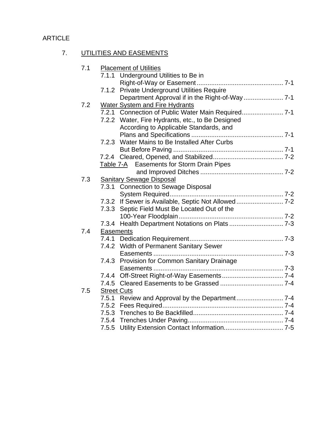# 7. UTILITIES AND EASEMENTS

| 7.1 | <b>Placement of Utilities</b><br>7.1.1 Underground Utilities to Be in |
|-----|-----------------------------------------------------------------------|
|     |                                                                       |
|     | 7.1.2 Private Underground Utilities Require                           |
|     |                                                                       |
| 7.2 | <b>Water System and Fire Hydrants</b>                                 |
|     | 7.2.1 Connection of Public Water Main Required                        |
|     | 7.2.2 Water, Fire Hydrants, etc., to Be Designed                      |
|     | According to Applicable Standards, and                                |
|     |                                                                       |
|     | Water Mains to Be Installed After Curbs<br>7.2.3                      |
|     |                                                                       |
|     |                                                                       |
|     | Table 7-A Easements for Storm Drain Pipes                             |
| 7.3 | <b>Sanitary Sewage Disposal</b>                                       |
|     | 7.3.1 Connection to Sewage Disposal                                   |
|     |                                                                       |
|     | 7.3.2 If Sewer is Available, Septic Not Allowed 7-2                   |
|     | 7.3.3 Septic Field Must Be Located Out of the                         |
|     |                                                                       |
|     |                                                                       |
| 7.4 | Easements                                                             |
|     |                                                                       |
|     | 7.4.2 Width of Permanent Sanitary Sewer                               |
|     |                                                                       |
|     | 7.4.3 Provision for Common Sanitary Drainage                          |
|     |                                                                       |
|     |                                                                       |
| 7.5 | <b>Street Cuts</b>                                                    |
|     |                                                                       |
|     |                                                                       |
|     |                                                                       |
|     |                                                                       |
|     |                                                                       |
|     |                                                                       |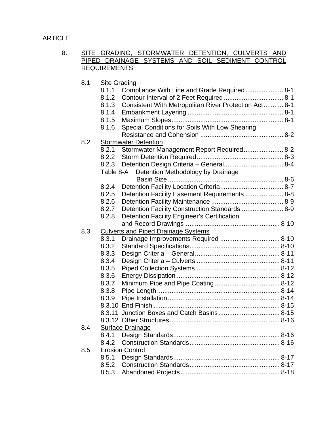### 8. SITE GRADING, STORMWATER DETENTION, CULVERTS AND PIPED DRAINAGE SYSTEMS AND SOIL SEDIMENT CONTROL **REQUIREMENTS**

| 8.1 | <b>Site Grading</b>     |                                                       |  |
|-----|-------------------------|-------------------------------------------------------|--|
|     | 8.1.1                   | Compliance With Line and Grade Required 8-1           |  |
|     | 8.1.2                   |                                                       |  |
|     | 8.1.3                   | Consistent With Metropolitan River Protection Act 8-1 |  |
|     | 8.1.4                   |                                                       |  |
|     | 8.1.5                   |                                                       |  |
|     | 8.1.6                   | Special Conditions for Soils With Low Shearing        |  |
|     |                         |                                                       |  |
| 8.2 |                         | <b>Stormwater Detention</b>                           |  |
|     | 8.2.1                   | Stormwater Management Report Required 8-2             |  |
|     | 8.2.2                   |                                                       |  |
|     | 8.2.3                   |                                                       |  |
|     | Table 8-A               | Detention Methodology by Drainage                     |  |
|     |                         |                                                       |  |
|     | 8.2.4                   |                                                       |  |
|     | 8.2.5                   | Detention Facility Easement Requirements  8-8         |  |
|     | 8.2.6                   |                                                       |  |
|     | 8.2.7                   | Detention Facility Construction Standards  8-9        |  |
|     | 8.2.8                   | Detention Facility Engineer's Certification           |  |
|     |                         |                                                       |  |
| 8.3 |                         | <b>Culverts and Piped Drainage Systems</b>            |  |
|     | 8.3.1                   |                                                       |  |
|     | 8.3.2                   |                                                       |  |
|     | 8.3.3                   |                                                       |  |
|     | 8.3.4                   |                                                       |  |
|     | 8.3.5                   |                                                       |  |
|     | 8.3.6                   |                                                       |  |
|     | 8.3.7                   |                                                       |  |
|     | 8.3.8                   |                                                       |  |
|     | 8.3.9                   |                                                       |  |
|     |                         |                                                       |  |
|     |                         |                                                       |  |
|     |                         |                                                       |  |
| 8.4 | <b>Surface Drainage</b> |                                                       |  |
|     | 8.4.1                   |                                                       |  |
|     | 8.4.2                   |                                                       |  |
| 8.5 |                         | <b>Erosion Control</b>                                |  |
|     | 8.5.1                   |                                                       |  |
|     | 8.5.2                   |                                                       |  |
|     | 8.5.3                   |                                                       |  |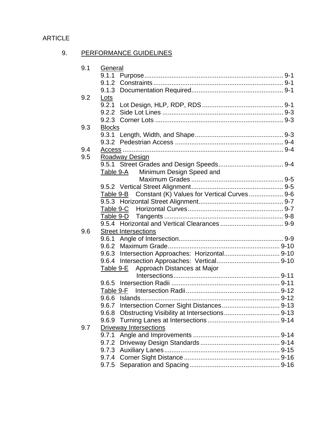## 9. PERFORMANCE GUIDELINES

| 9.1 | General                                               |  |
|-----|-------------------------------------------------------|--|
|     |                                                       |  |
|     |                                                       |  |
|     | 9.1.3                                                 |  |
| 9.2 | <u>Lots</u>                                           |  |
|     | 9.2.1                                                 |  |
|     | 9.2.2                                                 |  |
|     |                                                       |  |
| 9.3 | <b>Blocks</b>                                         |  |
|     |                                                       |  |
|     |                                                       |  |
| 9.4 |                                                       |  |
| 9.5 | Roadway Design                                        |  |
|     |                                                       |  |
|     | Minimum Design Speed and<br>Table 9-A                 |  |
|     |                                                       |  |
|     |                                                       |  |
|     | Table 9-B Constant (K) Values for Vertical Curves 9-6 |  |
|     |                                                       |  |
|     | Table 9-C                                             |  |
|     | Table 9-D                                             |  |
|     |                                                       |  |
| 9.6 | <b>Street Intersections</b>                           |  |
|     |                                                       |  |
|     |                                                       |  |
|     |                                                       |  |
|     |                                                       |  |
|     | Approach Distances at Major<br>Table 9-E              |  |
|     |                                                       |  |
|     | 9.6.5                                                 |  |
|     |                                                       |  |
|     |                                                       |  |
|     | 9.6.7                                                 |  |
|     | 9.6.8                                                 |  |
|     |                                                       |  |
| 9.7 | <b>Driveway Intersections</b>                         |  |
|     | 9.7.1                                                 |  |
|     |                                                       |  |
|     |                                                       |  |
|     |                                                       |  |
|     |                                                       |  |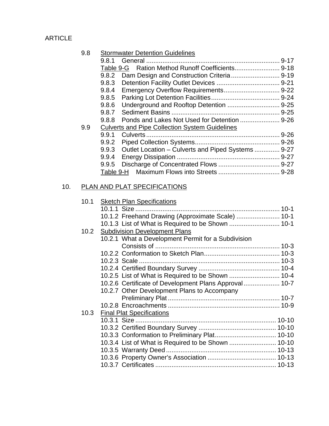### 9.8 Stormwater Detention Guidelines

|     | 9.8.1     | General                                               | $9 - 17$ |
|-----|-----------|-------------------------------------------------------|----------|
|     |           |                                                       |          |
|     | 9.8.2     |                                                       |          |
|     | 9.8.3     |                                                       | $9 - 21$ |
|     | 9.8.4     |                                                       |          |
|     | 9.8.5     |                                                       |          |
|     | 9.8.6     |                                                       |          |
|     | 9.8.7     |                                                       |          |
|     | 9.8.8     | Ponds and Lakes Not Used for Detention  9-26          |          |
| 9.9 |           | <b>Culverts and Pipe Collection System Guidelines</b> |          |
|     | 9.9.1     |                                                       | $9 - 26$ |
|     | 9.9.2     |                                                       |          |
|     | 9.9.3     | Outlet Location – Culverts and Piped Systems          | $9 - 27$ |
|     | 9.9.4     |                                                       | $9 - 27$ |
|     | 9.9.5     |                                                       | $9 - 27$ |
|     | Table 9-H |                                                       |          |
|     |           |                                                       |          |

# 10. PLAN AND PLAT SPECIFICATIONS

| 10.1 | <b>Sketch Plan Specifications</b>                      |  |
|------|--------------------------------------------------------|--|
|      |                                                        |  |
|      | 10.1.2 Freehand Drawing (Approximate Scale)  10-1      |  |
|      |                                                        |  |
| 10.2 | <b>Subdivision Development Plans</b>                   |  |
|      | 10.2.1 What a Development Permit for a Subdivision     |  |
|      |                                                        |  |
|      |                                                        |  |
|      |                                                        |  |
|      |                                                        |  |
|      | 10.2.5 List of What is Required to be Shown  10-4      |  |
|      | 10.2.6 Certificate of Development Plans Approval  10-7 |  |
|      | 10.2.7 Other Development Plans to Accompany            |  |
|      |                                                        |  |
|      |                                                        |  |
| 10.3 | <b>Final Plat Specifications</b>                       |  |
|      |                                                        |  |
|      |                                                        |  |
|      | 10.3.3 Conformation to Preliminary Plat 10-10          |  |
|      |                                                        |  |
|      |                                                        |  |
|      |                                                        |  |
|      |                                                        |  |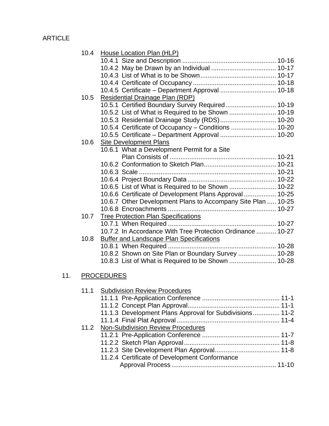$11.$ 

| 10.4 | House Location Plan (HLP)                                    |
|------|--------------------------------------------------------------|
|      |                                                              |
|      |                                                              |
|      |                                                              |
|      |                                                              |
|      | 10.4.5 Certificate - Department Approval  10-18              |
| 10.5 | <b>Residential Drainage Plan (RDP)</b>                       |
|      | 10.5.1 Certified Boundary Survey Required 10-19              |
|      | 10.5.2 List of What is Required to be Shown  10-19           |
|      | 10.5.3 Residential Drainage Study (RDS) 10-20                |
|      | 10.5.4 Certificate of Occupancy - Conditions  10-20          |
|      | 10.5.5 Certificate - Department Approval  10-20              |
| 10.6 | <b>Site Development Plans</b>                                |
|      | 10.6.1 What a Development Permit for a Site                  |
|      |                                                              |
|      |                                                              |
|      |                                                              |
|      |                                                              |
|      | 10.6.5 List of What is Required to be Shown  10-22           |
|      | 10.6.6 Certificate of Development Plans Approval 10-25       |
|      | 10.6.7 Other Development Plans to Accompany Site Plan  10-25 |
|      |                                                              |
| 10.7 | <b>Tree Protection Plan Specifications</b>                   |
|      |                                                              |
|      | 10.7.2 In Accordance With Tree Protection Ordinance  10-27   |
| 10.8 | <b>Buffer and Landscape Plan Specifications</b>              |
|      |                                                              |
|      | 10.8.2 Shown on Site Plan or Boundary Survey  10-28          |
|      |                                                              |
|      |                                                              |
|      | <b>PROCEDURES</b>                                            |
|      | 11.1 Subdivision Review Procedures                           |
|      |                                                              |
|      |                                                              |
|      | 11.1.3 Development Plans Approval for Subdivisions 11-2      |
|      |                                                              |
| 11.2 | <b>Non-Subdivision Review Procedures</b>                     |
|      |                                                              |
|      |                                                              |
|      |                                                              |
|      |                                                              |

11.2.4 Certificate of Development Conformance Approval Process .......................................................... 11-10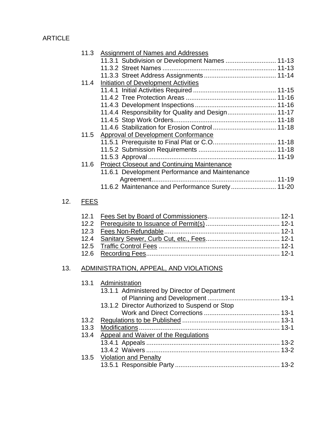|     | 11.3        | Assignment of Names and Addresses<br>11.3.1 Subdivision or Development Names  11-13 |
|-----|-------------|-------------------------------------------------------------------------------------|
|     | 11.4        | Initiation of Development Activities                                                |
|     |             |                                                                                     |
|     |             | 11.4.4 Responsibility for Quality and Design 11-17                                  |
|     |             |                                                                                     |
|     |             |                                                                                     |
|     | 11.5        | <b>Approval of Development Conformance</b>                                          |
|     |             |                                                                                     |
|     |             |                                                                                     |
|     |             |                                                                                     |
|     | 11.6        | <b>Project Closeout and Continuing Maintenance</b>                                  |
|     |             | 11.6.1 Development Performance and Maintenance                                      |
|     |             | 11.6.2 Maintenance and Performance Surety 11-20                                     |
|     |             |                                                                                     |
| 12. | <b>FEES</b> |                                                                                     |
|     | 12.1        |                                                                                     |
|     | 12.2        |                                                                                     |
|     | 12.3        |                                                                                     |
|     | 12.4        |                                                                                     |
|     | 12.5        |                                                                                     |
|     | 12.6        |                                                                                     |
| 13. |             | ADMINISTRATION, APPEAL, AND VIOLATIONS                                              |
|     | 13.1        | Administration<br>13.1.1 Administered by Director of Department                     |
|     |             |                                                                                     |
|     |             | 13.1.2 Director Authorized to Suspend or Stop                                       |
|     |             |                                                                                     |
|     | 13.2        |                                                                                     |
|     | 13.3        |                                                                                     |
|     | 13.4        | Appeal and Waiver of the Regulations                                                |
|     |             |                                                                                     |

| 13.5 Violation and Penalty |  |
|----------------------------|--|
|                            |  |